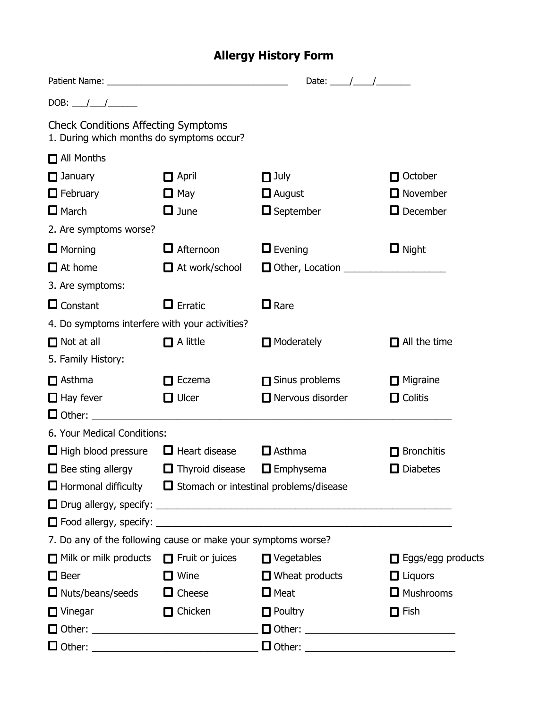## **Allergy History Form**

|                                                                                         |                                                                          | Date: $\frac{1}{\sqrt{1-\frac{1}{2}}}\frac{1}{\sqrt{1-\frac{1}{2}}}\frac{1}{\sqrt{1-\frac{1}{2}}}\frac{1}{\sqrt{1-\frac{1}{2}}}\frac{1}{\sqrt{1-\frac{1}{2}}}\frac{1}{\sqrt{1-\frac{1}{2}}}\frac{1}{\sqrt{1-\frac{1}{2}}}\frac{1}{\sqrt{1-\frac{1}{2}}}\frac{1}{\sqrt{1-\frac{1}{2}}}\frac{1}{\sqrt{1-\frac{1}{2}}}\frac{1}{\sqrt{1-\frac{1}{2}}}\frac{1}{\sqrt{1-\frac{1}{2}}}\frac{1}{\sqrt{1-\frac{1}{2}}}\frac{1}{\$ |                          |
|-----------------------------------------------------------------------------------------|--------------------------------------------------------------------------|--------------------------------------------------------------------------------------------------------------------------------------------------------------------------------------------------------------------------------------------------------------------------------------------------------------------------------------------------------------------------------------------------------------------------|--------------------------|
| DOB: $\frac{1}{1}$                                                                      |                                                                          |                                                                                                                                                                                                                                                                                                                                                                                                                          |                          |
| <b>Check Conditions Affecting Symptoms</b><br>1. During which months do symptoms occur? |                                                                          |                                                                                                                                                                                                                                                                                                                                                                                                                          |                          |
| All Months                                                                              |                                                                          |                                                                                                                                                                                                                                                                                                                                                                                                                          |                          |
| $\Box$ January                                                                          | $\Box$ April                                                             | $\Box$ July                                                                                                                                                                                                                                                                                                                                                                                                              | $\Box$ October           |
| $\Box$ February                                                                         | $\Box$ May                                                               | $\Box$ August                                                                                                                                                                                                                                                                                                                                                                                                            | $\Box$ November          |
| $\Box$ March                                                                            | $\Box$ June                                                              | $\Box$ September                                                                                                                                                                                                                                                                                                                                                                                                         | $\Box$ December          |
| 2. Are symptoms worse?                                                                  |                                                                          |                                                                                                                                                                                                                                                                                                                                                                                                                          |                          |
| $\Box$ Morning                                                                          | $\Box$ Afternoon                                                         | $\Box$ Evening                                                                                                                                                                                                                                                                                                                                                                                                           | $\Box$ Night             |
| $\Box$ At home                                                                          | At work/school                                                           | Other, Location ____________________                                                                                                                                                                                                                                                                                                                                                                                     |                          |
| 3. Are symptoms:                                                                        |                                                                          |                                                                                                                                                                                                                                                                                                                                                                                                                          |                          |
| $\Box$ Constant                                                                         | $\Box$ Erratic                                                           | $\Box$ Rare                                                                                                                                                                                                                                                                                                                                                                                                              |                          |
| 4. Do symptoms interfere with your activities?                                          |                                                                          |                                                                                                                                                                                                                                                                                                                                                                                                                          |                          |
| $\Box$ Not at all                                                                       | $\Box$ A little                                                          | $\blacksquare$ Moderately                                                                                                                                                                                                                                                                                                                                                                                                | $\Box$ All the time      |
| 5. Family History:                                                                      |                                                                          |                                                                                                                                                                                                                                                                                                                                                                                                                          |                          |
| $\Box$ Asthma                                                                           | Eczema<br>П                                                              | $\Box$ Sinus problems                                                                                                                                                                                                                                                                                                                                                                                                    | $\Box$ Migraine          |
| $\Box$ Hay fever                                                                        | $\Box$ Ulcer                                                             | $\Box$ Nervous disorder                                                                                                                                                                                                                                                                                                                                                                                                  | $\Box$ Colitis           |
| $\Box$ Other: $\Box$                                                                    |                                                                          |                                                                                                                                                                                                                                                                                                                                                                                                                          |                          |
| 6. Your Medical Conditions:                                                             |                                                                          |                                                                                                                                                                                                                                                                                                                                                                                                                          |                          |
| $\Box$ High blood pressure                                                              | $\Box$ Heart disease                                                     | $\Box$ Asthma                                                                                                                                                                                                                                                                                                                                                                                                            | $\Box$ Bronchitis        |
| $\Box$ Bee sting allergy                                                                | $\Box$ Thyroid disease                                                   | $\Box$ Emphysema                                                                                                                                                                                                                                                                                                                                                                                                         | $\Box$ Diabetes          |
|                                                                                         | $\Box$ Hormonal difficulty $\Box$ Stomach or intestinal problems/disease |                                                                                                                                                                                                                                                                                                                                                                                                                          |                          |
|                                                                                         |                                                                          |                                                                                                                                                                                                                                                                                                                                                                                                                          |                          |
|                                                                                         |                                                                          |                                                                                                                                                                                                                                                                                                                                                                                                                          |                          |
| 7. Do any of the following cause or make your symptoms worse?                           |                                                                          |                                                                                                                                                                                                                                                                                                                                                                                                                          |                          |
| □ Milk or milk products □ Fruit or juices □ Vegetables                                  |                                                                          |                                                                                                                                                                                                                                                                                                                                                                                                                          | $\Box$ Eggs/egg products |
| $\Box$ Beer                                                                             | $\Box$ Wine                                                              | <b>Solution</b> Wheat products                                                                                                                                                                                                                                                                                                                                                                                           | $\Box$ Liquors           |
| $\Box$ Nuts/beans/seeds                                                                 | $\Box$ Cheese                                                            | $\Box$ Meat                                                                                                                                                                                                                                                                                                                                                                                                              | <b>O</b> Mushrooms       |
| $\Box$ Vinegar                                                                          | $\Box$ Chicken                                                           | $\Box$ Poultry                                                                                                                                                                                                                                                                                                                                                                                                           | $\Box$ Fish              |
|                                                                                         |                                                                          |                                                                                                                                                                                                                                                                                                                                                                                                                          |                          |
|                                                                                         |                                                                          |                                                                                                                                                                                                                                                                                                                                                                                                                          |                          |